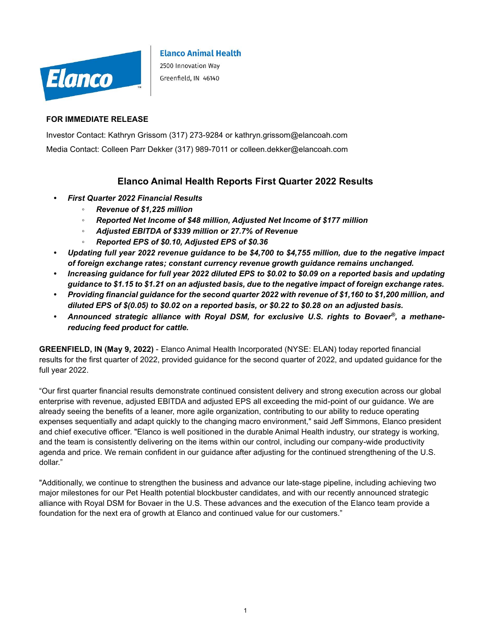

**Elanco Animal Health** 2500 Innovation Way Greenfield, IN 46140

## **FOR IMMEDIATE RELEASE**

Investor Contact: Kathryn Grissom (317) 273-9284 or kathryn.grissom@elancoah.com Media Contact: Colleen Parr Dekker (317) 989-7011 or colleen.dekker@elancoah.com

# **Elanco Animal Health Reports First Quarter 2022 Results**

- *• First Quarter 2022 Financial Results*
	- *◦ Revenue of \$1,225 million*
	- *◦ Reported Net Income of \$48 million, Adjusted Net Income of \$177 million*
	- *◦ Adjusted EBITDA of \$339 million or 27.7% of Revenue*
	- *◦ Reported EPS of \$0.10, Adjusted EPS of \$0.36*
- *• Updating full year 2022 revenue guidance to be \$4,700 to \$4,755 million, due to the negative impact of foreign exchange rates; constant currency revenue growth guidance remains unchanged.*
- *• Increasing guidance for full year 2022 diluted EPS to \$0.02 to \$0.09 on a reported basis and updating guidance to \$1.15 to \$1.21 on an adjusted basis, due to the negative impact of foreign exchange rates.*
- *• Providing financial guidance for the second quarter 2022 with revenue of \$1,160 to \$1,200 million, and diluted EPS of \$(0.05) to \$0.02 on a reported basis, or \$0.22 to \$0.28 on an adjusted basis.*
- *• Announced strategic alliance with Royal DSM, for exclusive U.S. rights to Bovaer®, a methanereducing feed product for cattle.*

**GREENFIELD, IN (May 9, 2022)** - Elanco Animal Health Incorporated (NYSE: ELAN) today reported financial results for the first quarter of 2022, provided guidance for the second quarter of 2022, and updated guidance for the full year 2022.

"Our first quarter financial results demonstrate continued consistent delivery and strong execution across our global enterprise with revenue, adjusted EBITDA and adjusted EPS all exceeding the mid-point of our guidance. We are already seeing the benefits of a leaner, more agile organization, contributing to our ability to reduce operating expenses sequentially and adapt quickly to the changing macro environment," said Jeff Simmons, Elanco president and chief executive officer. "Elanco is well positioned in the durable Animal Health industry, our strategy is working, and the team is consistently delivering on the items within our control, including our company-wide productivity agenda and price. We remain confident in our guidance after adjusting for the continued strengthening of the U.S. dollar."

"Additionally, we continue to strengthen the business and advance our late-stage pipeline, including achieving two major milestones for our Pet Health potential blockbuster candidates, and with our recently announced strategic alliance with Royal DSM for Bovaer in the U.S. These advances and the execution of the Elanco team provide a foundation for the next era of growth at Elanco and continued value for our customers."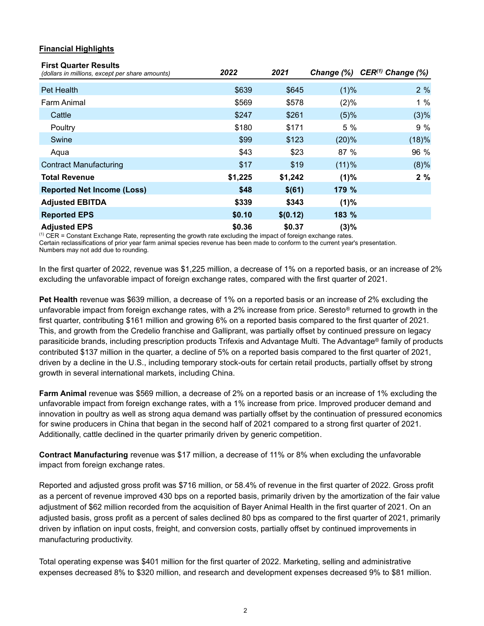## **Financial Highlights**

#### **First Quarter Results**

| 1 1131 QUART 11634113<br>(dollars in millions, except per share amounts) | 2022    | 2021     | Change (%) | $CER^{(1)}$ Change (%) |
|--------------------------------------------------------------------------|---------|----------|------------|------------------------|
| <b>Pet Health</b>                                                        | \$639   | \$645    | (1)%       | 2%                     |
| Farm Animal                                                              | \$569   | \$578    | (2)%       | 1%                     |
| Cattle                                                                   | \$247   | \$261    | (5)%       | (3)%                   |
| Poultry                                                                  | \$180   | \$171    | 5 %        | 9 %                    |
| Swine                                                                    | \$99    | \$123    | (20)%      | (18)%                  |
| Aqua                                                                     | \$43    | \$23     | 87 %       | 96 %                   |
| <b>Contract Manufacturing</b>                                            | \$17    | \$19     | (11)%      | (8)%                   |
| <b>Total Revenue</b>                                                     | \$1,225 | \$1,242  | $(1)\%$    | 2%                     |
| <b>Reported Net Income (Loss)</b>                                        | \$48    | \$(61)   | 179 %      |                        |
| <b>Adjusted EBITDA</b>                                                   | \$339   | \$343    | $(1)\%$    |                        |
| <b>Reported EPS</b>                                                      | \$0.10  | \$(0.12) | 183 %      |                        |
| <b>Adjusted EPS</b>                                                      | \$0.36  | \$0.37   | (3)%       |                        |

 $<sup>(1)</sup>$  CER = Constant Exchange Rate, representing the growth rate excluding the impact of foreign exchange rates.</sup> Certain reclassifications of prior year farm animal species revenue has been made to conform to the current year's presentation.

Numbers may not add due to rounding.

In the first quarter of 2022, revenue was \$1,225 million, a decrease of 1% on a reported basis, or an increase of 2% excluding the unfavorable impact of foreign exchange rates, compared with the first quarter of 2021.

**Pet Health** revenue was \$639 million, a decrease of 1% on a reported basis or an increase of 2% excluding the unfavorable impact from foreign exchange rates, with a 2% increase from price. Seresto® returned to growth in the first quarter, contributing \$161 million and growing 6% on a reported basis compared to the first quarter of 2021. This, and growth from the Credelio franchise and Galliprant, was partially offset by continued pressure on legacy parasiticide brands, including prescription products Trifexis and Advantage Multi. The Advantage® family of products contributed \$137 million in the quarter, a decline of 5% on a reported basis compared to the first quarter of 2021, driven by a decline in the U.S., including temporary stock-outs for certain retail products, partially offset by strong growth in several international markets, including China.

**Farm Animal** revenue was \$569 million, a decrease of 2% on a reported basis or an increase of 1% excluding the unfavorable impact from foreign exchange rates, with a 1% increase from price. Improved producer demand and innovation in poultry as well as strong aqua demand was partially offset by the continuation of pressured economics for swine producers in China that began in the second half of 2021 compared to a strong first quarter of 2021. Additionally, cattle declined in the quarter primarily driven by generic competition.

**Contract Manufacturing** revenue was \$17 million, a decrease of 11% or 8% when excluding the unfavorable impact from foreign exchange rates.

Reported and adjusted gross profit was \$716 million, or 58.4% of revenue in the first quarter of 2022. Gross profit as a percent of revenue improved 430 bps on a reported basis, primarily driven by the amortization of the fair value adjustment of \$62 million recorded from the acquisition of Bayer Animal Health in the first quarter of 2021. On an adjusted basis, gross profit as a percent of sales declined 80 bps as compared to the first quarter of 2021, primarily driven by inflation on input costs, freight, and conversion costs, partially offset by continued improvements in manufacturing productivity.

Total operating expense was \$401 million for the first quarter of 2022. Marketing, selling and administrative expenses decreased 8% to \$320 million, and research and development expenses decreased 9% to \$81 million.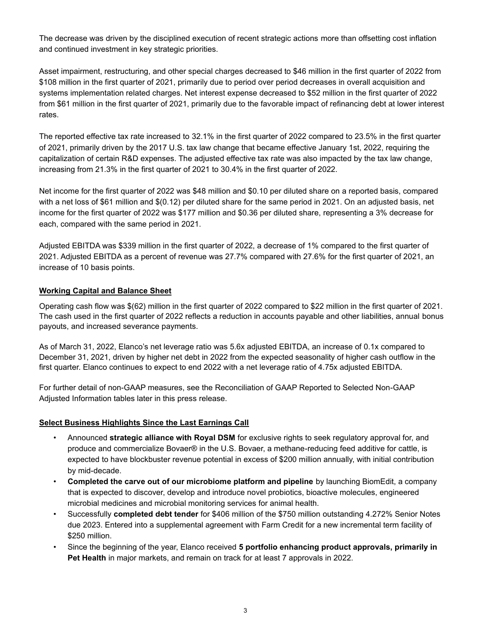The decrease was driven by the disciplined execution of recent strategic actions more than offsetting cost inflation and continued investment in key strategic priorities.

Asset impairment, restructuring, and other special charges decreased to \$46 million in the first quarter of 2022 from \$108 million in the first quarter of 2021, primarily due to period over period decreases in overall acquisition and systems implementation related charges. Net interest expense decreased to \$52 million in the first quarter of 2022 from \$61 million in the first quarter of 2021, primarily due to the favorable impact of refinancing debt at lower interest rates.

The reported effective tax rate increased to 32.1% in the first quarter of 2022 compared to 23.5% in the first quarter of 2021, primarily driven by the 2017 U.S. tax law change that became effective January 1st, 2022, requiring the capitalization of certain R&D expenses. The adjusted effective tax rate was also impacted by the tax law change, increasing from 21.3% in the first quarter of 2021 to 30.4% in the first quarter of 2022.

Net income for the first quarter of 2022 was \$48 million and \$0.10 per diluted share on a reported basis, compared with a net loss of \$61 million and \$(0.12) per diluted share for the same period in 2021. On an adjusted basis, net income for the first quarter of 2022 was \$177 million and \$0.36 per diluted share, representing a 3% decrease for each, compared with the same period in 2021.

Adjusted EBITDA was \$339 million in the first quarter of 2022, a decrease of 1% compared to the first quarter of 2021. Adjusted EBITDA as a percent of revenue was 27.7% compared with 27.6% for the first quarter of 2021, an increase of 10 basis points.

### **Working Capital and Balance Sheet**

Operating cash flow was \$(62) million in the first quarter of 2022 compared to \$22 million in the first quarter of 2021. The cash used in the first quarter of 2022 reflects a reduction in accounts payable and other liabilities, annual bonus payouts, and increased severance payments.

As of March 31, 2022, Elanco's net leverage ratio was 5.6x adjusted EBITDA, an increase of 0.1x compared to December 31, 2021, driven by higher net debt in 2022 from the expected seasonality of higher cash outflow in the first quarter. Elanco continues to expect to end 2022 with a net leverage ratio of 4.75x adjusted EBITDA.

For further detail of non-GAAP measures, see the Reconciliation of GAAP Reported to Selected Non-GAAP Adjusted Information tables later in this press release.

#### **Select Business Highlights Since the Last Earnings Call**

- Announced **strategic alliance with Royal DSM** for exclusive rights to seek regulatory approval for, and produce and commercialize Bovaer® in the U.S. Bovaer, a methane-reducing feed additive for cattle, is expected to have blockbuster revenue potential in excess of \$200 million annually, with initial contribution by mid-decade.
- **Completed the carve out of our microbiome platform and pipeline** by launching BiomEdit, a company that is expected to discover, develop and introduce novel probiotics, bioactive molecules, engineered microbial medicines and microbial monitoring services for animal health.
- Successfully **completed debt tender** for \$406 million of the \$750 million outstanding 4.272% Senior Notes due 2023. Entered into a supplemental agreement with Farm Credit for a new incremental term facility of \$250 million.
- Since the beginning of the year, Elanco received **5 portfolio enhancing product approvals, primarily in Pet Health** in major markets, and remain on track for at least 7 approvals in 2022.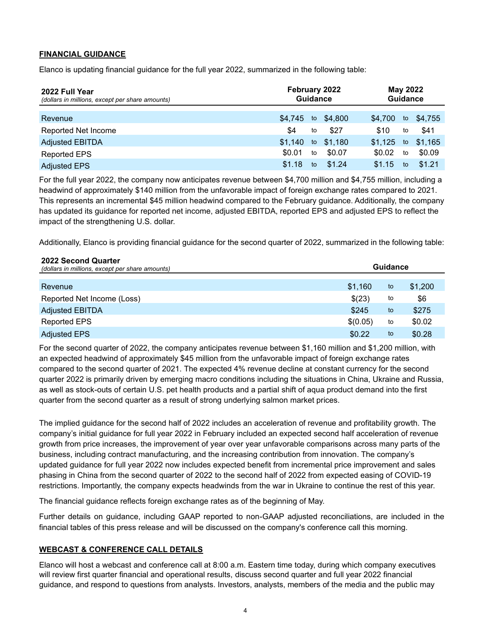## **FINANCIAL GUIDANCE**

Elanco is updating financial guidance for the full year 2022, summarized in the following table:

| 2022 Full Year<br>(dollars in millions, except per share amounts) | February 2022<br><b>Guidance</b> |    |         | <b>May 2022</b><br><b>Guidance</b> |    |         |  |
|-------------------------------------------------------------------|----------------------------------|----|---------|------------------------------------|----|---------|--|
|                                                                   |                                  |    |         |                                    |    |         |  |
| Revenue                                                           | \$4.745                          | to | \$4.800 | \$4.700                            | to | \$4,755 |  |
| <b>Reported Net Income</b>                                        | \$4                              | to | \$27    | \$10                               | to | \$41    |  |
| <b>Adjusted EBITDA</b>                                            | \$1,140                          | to | \$1,180 | \$1,125                            | to | \$1,165 |  |
| Reported EPS                                                      | \$0.01                           | to | \$0.07  | \$0.02                             | to | \$0.09  |  |
| <b>Adjusted EPS</b>                                               | \$1.18                           | to | \$1.24  | \$1.15                             | to | \$1.21  |  |

For the full year 2022, the company now anticipates revenue between \$4,700 million and \$4,755 million, including a headwind of approximately \$140 million from the unfavorable impact of foreign exchange rates compared to 2021. This represents an incremental \$45 million headwind compared to the February guidance. Additionally, the company has updated its guidance for reported net income, adjusted EBITDA, reported EPS and adjusted EPS to reflect the impact of the strengthening U.S. dollar.

Additionally, Elanco is providing financial guidance for the second quarter of 2022, summarized in the following table:

| <b>2022 Second Quarter</b><br>(dollars in millions, except per share amounts) |          | <b>Guidance</b> |         |
|-------------------------------------------------------------------------------|----------|-----------------|---------|
| Revenue                                                                       | \$1.160  | to              | \$1,200 |
| Reported Net Income (Loss)                                                    | \$(23)   | to              | \$6     |
| <b>Adjusted EBITDA</b>                                                        | \$245    | to              | \$275   |
| <b>Reported EPS</b>                                                           | \$(0.05) | to              | \$0.02  |
| <b>Adjusted EPS</b>                                                           | \$0.22   | to              | \$0.28  |

For the second quarter of 2022, the company anticipates revenue between \$1,160 million and \$1,200 million, with an expected headwind of approximately \$45 million from the unfavorable impact of foreign exchange rates compared to the second quarter of 2021. The expected 4% revenue decline at constant currency for the second quarter 2022 is primarily driven by emerging macro conditions including the situations in China, Ukraine and Russia, as well as stock-outs of certain U.S. pet health products and a partial shift of aqua product demand into the first quarter from the second quarter as a result of strong underlying salmon market prices.

The implied guidance for the second half of 2022 includes an acceleration of revenue and profitability growth. The company's initial guidance for full year 2022 in February included an expected second half acceleration of revenue growth from price increases, the improvement of year over year unfavorable comparisons across many parts of the business, including contract manufacturing, and the increasing contribution from innovation. The company's updated guidance for full year 2022 now includes expected benefit from incremental price improvement and sales phasing in China from the second quarter of 2022 to the second half of 2022 from expected easing of COVID-19 restrictions. Importantly, the company expects headwinds from the war in Ukraine to continue the rest of this year.

The financial guidance reflects foreign exchange rates as of the beginning of May.

Further details on guidance, including GAAP reported to non-GAAP adjusted reconciliations, are included in the financial tables of this press release and will be discussed on the company's conference call this morning.

### **WEBCAST & CONFERENCE CALL DETAILS**

Elanco will host a webcast and conference call at 8:00 a.m. Eastern time today, during which company executives will review first quarter financial and operational results, discuss second quarter and full year 2022 financial guidance, and respond to questions from analysts. Investors, analysts, members of the media and the public may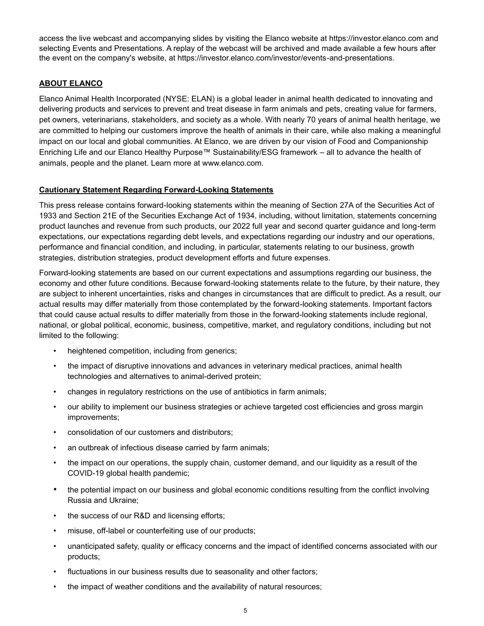access the live webcast and accompanying slides by visiting the Elanco website at https://investor.elanco.com and selecting Events and Presentations. A replay of the webcast will be archived and made available a few hours after the event on the company's website, at https://investor.elanco.com/investor/events-and-presentations.

### **ABOUT ELANCO**

Elanco Animal Health Incorporated (NYSE: ELAN) is a global leader in animal health dedicated to innovating and delivering products and services to prevent and treat disease in farm animals and pets, creating value for farmers, pet owners, veterinarians, stakeholders, and society as a whole. With nearly 70 years of animal health heritage, we are committed to helping our customers improve the health of animals in their care, while also making a meaningful impact on our local and global communities. At Elanco, we are driven by our vision of Food and Companionship Enriching Life and our Elanco Healthy Purpose™ Sustainability/ESG framework – all to advance the health of animals, people and the planet. Learn more at www.elanco.com.

#### **Cautionary Statement Regarding Forward-Looking Statements**

This press release contains forward-looking statements within the meaning of Section 27A of the Securities Act of 1933 and Section 21E of the Securities Exchange Act of 1934, including, without limitation, statements concerning product launches and revenue from such products, our 2022 full year and second quarter guidance and long-term expectations, our expectations regarding debt levels, and expectations regarding our industry and our operations, performance and financial condition, and including, in particular, statements relating to our business, growth strategies, distribution strategies, product development efforts and future expenses.

Forward-looking statements are based on our current expectations and assumptions regarding our business, the economy and other future conditions. Because forward-looking statements relate to the future, by their nature, they are subject to inherent uncertainties, risks and changes in circumstances that are difficult to predict. As a result, our actual results may differ materially from those contemplated by the forward-looking statements. Important factors that could cause actual results to differ materially from those in the forward-looking statements include regional, national, or global political, economic, business, competitive, market, and regulatory conditions, including but not limited to the following:

- heightened competition, including from generics;
- the impact of disruptive innovations and advances in veterinary medical practices, animal health technologies and alternatives to animal-derived protein;
- changes in regulatory restrictions on the use of antibiotics in farm animals;
- our ability to implement our business strategies or achieve targeted cost efficiencies and gross margin improvements;
- consolidation of our customers and distributors;
- an outbreak of infectious disease carried by farm animals;
- the impact on our operations, the supply chain, customer demand, and our liquidity as a result of the COVID-19 global health pandemic;
- the potential impact on our business and global economic conditions resulting from the conflict involving Russia and Ukraine;
- the success of our R&D and licensing efforts;
- misuse, off-label or counterfeiting use of our products;
- unanticipated safety, quality or efficacy concerns and the impact of identified concerns associated with our products;
- fluctuations in our business results due to seasonality and other factors;
- the impact of weather conditions and the availability of natural resources;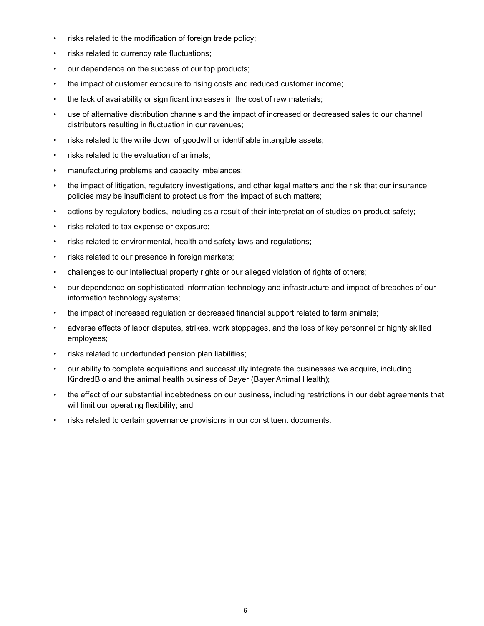- risks related to the modification of foreign trade policy;
- risks related to currency rate fluctuations;
- our dependence on the success of our top products;
- the impact of customer exposure to rising costs and reduced customer income;
- the lack of availability or significant increases in the cost of raw materials;
- use of alternative distribution channels and the impact of increased or decreased sales to our channel distributors resulting in fluctuation in our revenues;
- risks related to the write down of goodwill or identifiable intangible assets;
- risks related to the evaluation of animals;
- manufacturing problems and capacity imbalances;
- the impact of litigation, regulatory investigations, and other legal matters and the risk that our insurance policies may be insufficient to protect us from the impact of such matters;
- actions by regulatory bodies, including as a result of their interpretation of studies on product safety;
- risks related to tax expense or exposure;
- risks related to environmental, health and safety laws and regulations;
- risks related to our presence in foreign markets;
- challenges to our intellectual property rights or our alleged violation of rights of others;
- our dependence on sophisticated information technology and infrastructure and impact of breaches of our information technology systems;
- the impact of increased regulation or decreased financial support related to farm animals;
- adverse effects of labor disputes, strikes, work stoppages, and the loss of key personnel or highly skilled employees;
- risks related to underfunded pension plan liabilities;
- our ability to complete acquisitions and successfully integrate the businesses we acquire, including KindredBio and the animal health business of Bayer (Bayer Animal Health);
- the effect of our substantial indebtedness on our business, including restrictions in our debt agreements that will limit our operating flexibility; and
- risks related to certain governance provisions in our constituent documents.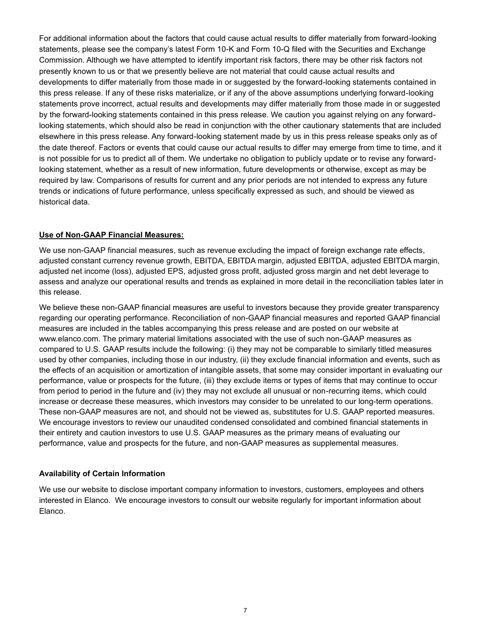For additional information about the factors that could cause actual results to differ materially from forward-looking statements, please see the company's latest Form 10-K and Form 10-Q filed with the Securities and Exchange Commission. Although we have attempted to identify important risk factors, there may be other risk factors not presently known to us or that we presently believe are not material that could cause actual results and developments to differ materially from those made in or suggested by the forward-looking statements contained in this press release. If any of these risks materialize, or if any of the above assumptions underlying forward-looking statements prove incorrect, actual results and developments may differ materially from those made in or suggested by the forward-looking statements contained in this press release. We caution you against relying on any forwardlooking statements, which should also be read in conjunction with the other cautionary statements that are included elsewhere in this press release. Any forward-looking statement made by us in this press release speaks only as of the date thereof. Factors or events that could cause our actual results to differ may emerge from time to time, and it is not possible for us to predict all of them. We undertake no obligation to publicly update or to revise any forwardlooking statement, whether as a result of new information, future developments or otherwise, except as may be required by law. Comparisons of results for current and any prior periods are not intended to express any future trends or indications of future performance, unless specifically expressed as such, and should be viewed as historical data.

### **Use of Non-GAAP Financial Measures:**

We use non-GAAP financial measures, such as revenue excluding the impact of foreign exchange rate effects, adjusted constant currency revenue growth, EBITDA, EBITDA margin, adjusted EBITDA, adjusted EBITDA margin, adjusted net income (loss), adjusted EPS, adjusted gross profit, adjusted gross margin and net debt leverage to assess and analyze our operational results and trends as explained in more detail in the reconciliation tables later in this release.

We believe these non-GAAP financial measures are useful to investors because they provide greater transparency regarding our operating performance. Reconciliation of non-GAAP financial measures and reported GAAP financial measures are included in the tables accompanying this press release and are posted on our website at www.elanco.com. The primary material limitations associated with the use of such non-GAAP measures as compared to U.S. GAAP results include the following: (i) they may not be comparable to similarly titled measures used by other companies, including those in our industry, (ii) they exclude financial information and events, such as the effects of an acquisition or amortization of intangible assets, that some may consider important in evaluating our performance, value or prospects for the future, (iii) they exclude items or types of items that may continue to occur from period to period in the future and (iv) they may not exclude all unusual or non-recurring items, which could increase or decrease these measures, which investors may consider to be unrelated to our long-term operations. These non-GAAP measures are not, and should not be viewed as, substitutes for U.S. GAAP reported measures. We encourage investors to review our unaudited condensed consolidated and combined financial statements in their entirety and caution investors to use U.S. GAAP measures as the primary means of evaluating our performance, value and prospects for the future, and non-GAAP measures as supplemental measures.

#### **Availability of Certain Information**

We use our website to disclose important company information to investors, customers, employees and others interested in Elanco. We encourage investors to consult our website regularly for important information about Elanco.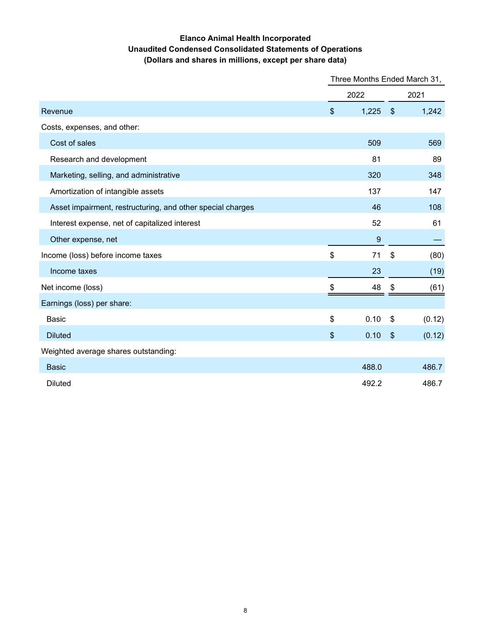# **Elanco Animal Health Incorporated Unaudited Condensed Consolidated Statements of Operations (Dollars and shares in millions, except per share data)**

|                                                            | Three Months Ended March 31, |       |                         |        |
|------------------------------------------------------------|------------------------------|-------|-------------------------|--------|
|                                                            |                              | 2022  |                         | 2021   |
| Revenue                                                    | $\boldsymbol{\$}$            | 1,225 | $\sqrt[6]{\frac{1}{2}}$ | 1,242  |
| Costs, expenses, and other:                                |                              |       |                         |        |
| Cost of sales                                              |                              | 509   |                         | 569    |
| Research and development                                   |                              | 81    |                         | 89     |
| Marketing, selling, and administrative                     |                              | 320   |                         | 348    |
| Amortization of intangible assets                          |                              | 137   |                         | 147    |
| Asset impairment, restructuring, and other special charges |                              | 46    |                         | 108    |
| Interest expense, net of capitalized interest              |                              | 52    |                         | 61     |
| Other expense, net                                         |                              | 9     |                         |        |
| Income (loss) before income taxes                          | \$                           | 71    | \$                      | (80)   |
| Income taxes                                               |                              | 23    |                         | (19)   |
| Net income (loss)                                          | \$                           | 48    | \$                      | (61)   |
| Earnings (loss) per share:                                 |                              |       |                         |        |
| <b>Basic</b>                                               | \$                           | 0.10  | \$                      | (0.12) |
| <b>Diluted</b>                                             | \$                           | 0.10  | $\frac{1}{2}$           | (0.12) |
| Weighted average shares outstanding:                       |                              |       |                         |        |
| <b>Basic</b>                                               |                              | 488.0 |                         | 486.7  |
| <b>Diluted</b>                                             |                              | 492.2 |                         | 486.7  |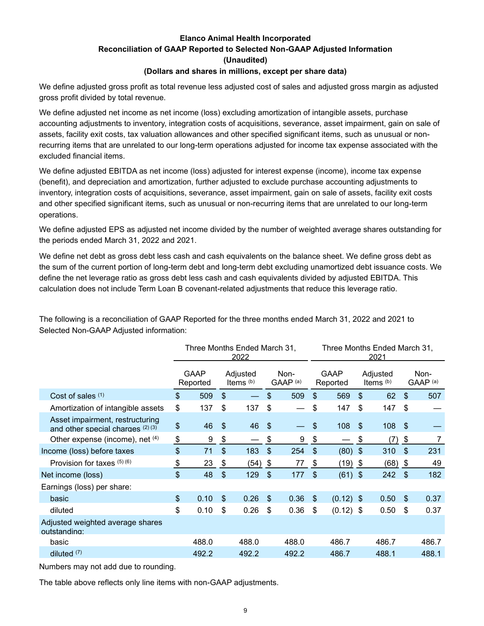# **Elanco Animal Health Incorporated Reconciliation of GAAP Reported to Selected Non-GAAP Adjusted Information (Unaudited) (Dollars and shares in millions, except per share data)**

We define adjusted gross profit as total revenue less adjusted cost of sales and adjusted gross margin as adjusted gross profit divided by total revenue.

We define adjusted net income as net income (loss) excluding amortization of intangible assets, purchase accounting adjustments to inventory, integration costs of acquisitions, severance, asset impairment, gain on sale of assets, facility exit costs, tax valuation allowances and other specified significant items, such as unusual or nonrecurring items that are unrelated to our long-term operations adjusted for income tax expense associated with the excluded financial items.

We define adjusted EBITDA as net income (loss) adjusted for interest expense (income), income tax expense (benefit), and depreciation and amortization, further adjusted to exclude purchase accounting adjustments to inventory, integration costs of acquisitions, severance, asset impairment, gain on sale of assets, facility exit costs and other specified significant items, such as unusual or non-recurring items that are unrelated to our long-term operations.

We define adjusted EPS as adjusted net income divided by the number of weighted average shares outstanding for the periods ended March 31, 2022 and 2021.

We define net debt as gross debt less cash and cash equivalents on the balance sheet. We define gross debt as the sum of the current portion of long-term debt and long-term debt excluding unamortized debt issuance costs. We define the net leverage ratio as gross debt less cash and cash equivalents divided by adjusted EBITDA. This calculation does not include Term Loan B covenant-related adjustments that reduce this leverage ratio.

|                                                                       | Three Months Ended March 31,<br><u> 2022 </u> |                  |                |                                  |                         |                             |                         | Three Months Ended March 31,<br><u> 2021</u> |                                  |                            |                             |
|-----------------------------------------------------------------------|-----------------------------------------------|------------------|----------------|----------------------------------|-------------------------|-----------------------------|-------------------------|----------------------------------------------|----------------------------------|----------------------------|-----------------------------|
|                                                                       |                                               | GAAP<br>Reported |                | Adjusted<br>Items <sup>(b)</sup> |                         | Non-<br>GAAP <sup>(a)</sup> | <b>GAAP</b><br>Reported |                                              | Adjusted<br>Items <sup>(b)</sup> |                            | Non-<br>GAAP <sup>(a)</sup> |
| Cost of sales $(1)$                                                   | \$                                            | 509              | \$             |                                  | \$                      | 509                         | \$<br>569               | \$                                           | 62                               | $\boldsymbol{\mathsf{\$}}$ | 507                         |
| Amortization of intangible assets                                     | \$                                            | 137              | \$             | 137                              | \$                      |                             | \$<br>147               | \$                                           | 147                              | \$                         |                             |
| Asset impairment, restructuring<br>and other special charges $(2)(3)$ | \$                                            | 46               | $\mathfrak{F}$ | 46                               | - \$                    |                             | \$<br>108               | \$                                           | 108                              | \$                         |                             |
| Other expense (income), net $(4)$                                     | \$                                            | 9                | \$             |                                  | \$                      | 9                           | \$                      | \$                                           | (7)                              | \$                         | 7                           |
| Income (loss) before taxes                                            | \$                                            | 71               | \$             | 183                              | $\mathfrak{S}$          | 254                         | \$<br>(80)              | \$                                           | 310                              | \$                         | 231                         |
| Provision for taxes (5) (6)                                           | \$                                            | 23               | \$             | (54) \$                          |                         | 77                          | \$<br>$(19)$ \$         |                                              | (68)                             | - \$                       | 49                          |
| Net income (loss)                                                     | \$                                            | 48               | \$             | 129                              | $\sqrt[6]{\frac{1}{2}}$ | 177                         | \$<br>$(61)$ \$         |                                              | 242                              | \$                         | 182                         |
| Earnings (loss) per share:                                            |                                               |                  |                |                                  |                         |                             |                         |                                              |                                  |                            |                             |
| basic                                                                 | \$                                            | 0.10             | \$             | 0.26                             | \$                      | 0.36                        | \$<br>$(0.12)$ \$       |                                              | 0.50                             | $\mathfrak{F}$             | 0.37                        |
| diluted                                                               | \$                                            | 0.10             | \$             | 0.26                             | \$                      | 0.36                        | \$<br>$(0.12)$ \$       |                                              | 0.50                             | \$                         | 0.37                        |
| Adjusted weighted average shares<br>outstanding:                      |                                               |                  |                |                                  |                         |                             |                         |                                              |                                  |                            |                             |
| basic                                                                 |                                               | 488.0            |                | 488.0                            |                         | 488.0                       | 486.7                   |                                              | 486.7                            |                            | 486.7                       |
| diluted (7)                                                           |                                               | 492.2            |                | 492.2                            |                         | 492.2                       | 486.7                   |                                              | 488.1                            |                            | 488.1                       |

The following is a reconciliation of GAAP Reported for the three months ended March 31, 2022 and 2021 to Selected Non-GAAP Adjusted information:

Numbers may not add due to rounding.

The table above reflects only line items with non-GAAP adjustments.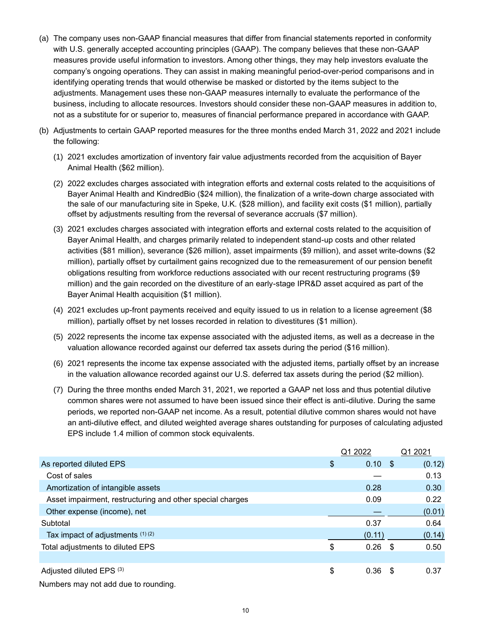- (a) The company uses non-GAAP financial measures that differ from financial statements reported in conformity with U.S. generally accepted accounting principles (GAAP). The company believes that these non-GAAP measures provide useful information to investors. Among other things, they may help investors evaluate the company's ongoing operations. They can assist in making meaningful period-over-period comparisons and in identifying operating trends that would otherwise be masked or distorted by the items subject to the adjustments. Management uses these non-GAAP measures internally to evaluate the performance of the business, including to allocate resources. Investors should consider these non-GAAP measures in addition to, not as a substitute for or superior to, measures of financial performance prepared in accordance with GAAP.
- (b) Adjustments to certain GAAP reported measures for the three months ended March 31, 2022 and 2021 include the following:
	- (1) 2021 excludes amortization of inventory fair value adjustments recorded from the acquisition of Bayer Animal Health (\$62 million).
	- (2) 2022 excludes charges associated with integration efforts and external costs related to the acquisitions of Bayer Animal Health and KindredBio (\$24 million), the finalization of a write-down charge associated with the sale of our manufacturing site in Speke, U.K. (\$28 million), and facility exit costs (\$1 million), partially offset by adjustments resulting from the reversal of severance accruals (\$7 million).
	- (3) 2021 excludes charges associated with integration efforts and external costs related to the acquisition of Bayer Animal Health, and charges primarily related to independent stand-up costs and other related activities (\$81 million), severance (\$26 million), asset impairments (\$9 million), and asset write-downs (\$2 million), partially offset by curtailment gains recognized due to the remeasurement of our pension benefit obligations resulting from workforce reductions associated with our recent restructuring programs (\$9 million) and the gain recorded on the divestiture of an early-stage IPR&D asset acquired as part of the Bayer Animal Health acquisition (\$1 million).
	- (4) 2021 excludes up-front payments received and equity issued to us in relation to a license agreement (\$8 million), partially offset by net losses recorded in relation to divestitures (\$1 million).
	- (5) 2022 represents the income tax expense associated with the adjusted items, as well as a decrease in the valuation allowance recorded against our deferred tax assets during the period (\$16 million).
	- (6) 2021 represents the income tax expense associated with the adjusted items, partially offset by an increase in the valuation allowance recorded against our U.S. deferred tax assets during the period (\$2 million).
	- (7) During the three months ended March 31, 2021, we reported a GAAP net loss and thus potential dilutive common shares were not assumed to have been issued since their effect is anti-dilutive. During the same periods, we reported non-GAAP net income. As a result, potential dilutive common shares would not have an anti-dilutive effect, and diluted weighted average shares outstanding for purposes of calculating adjusted EPS include 1.4 million of common stock equivalents.

|                                                           | Q1 2022    |      | Q1 2021 |
|-----------------------------------------------------------|------------|------|---------|
| As reported diluted EPS                                   | \$<br>0.10 | - \$ | (0.12)  |
| Cost of sales                                             |            |      | 0.13    |
| Amortization of intangible assets                         | 0.28       |      | 0.30    |
| Asset impairment, restructuring and other special charges | 0.09       |      | 0.22    |
| Other expense (income), net                               |            |      | (0.01)  |
| Subtotal                                                  | 0.37       |      | 0.64    |
| Tax impact of adjustments $(1)(2)$                        | (0.11)     |      | (0.14)  |
| Total adjustments to diluted EPS                          | \$<br>0.26 | - \$ | 0.50    |
|                                                           |            |      |         |
| Adjusted diluted EPS (3)                                  | \$<br>0.36 |      | 0.37    |

Numbers may not add due to rounding.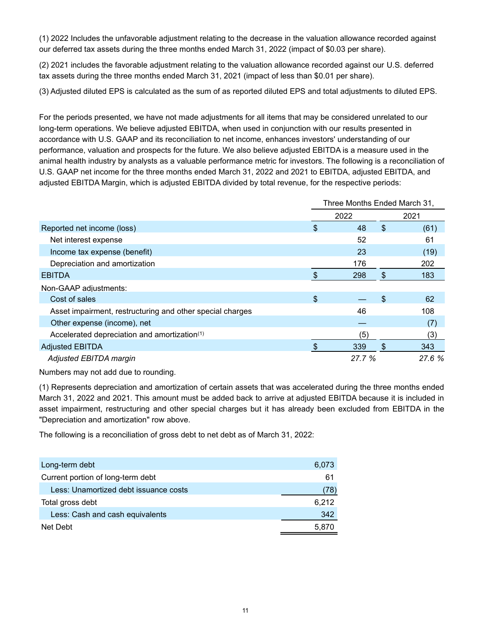(1) 2022 Includes the unfavorable adjustment relating to the decrease in the valuation allowance recorded against our deferred tax assets during the three months ended March 31, 2022 (impact of \$0.03 per share).

(2) 2021 includes the favorable adjustment relating to the valuation allowance recorded against our U.S. deferred tax assets during the three months ended March 31, 2021 (impact of less than \$0.01 per share).

(3) Adjusted diluted EPS is calculated as the sum of as reported diluted EPS and total adjustments to diluted EPS.

For the periods presented, we have not made adjustments for all items that may be considered unrelated to our long-term operations. We believe adjusted EBITDA, when used in conjunction with our results presented in accordance with U.S. GAAP and its reconciliation to net income, enhances investors' understanding of our performance, valuation and prospects for the future. We also believe adjusted EBITDA is a measure used in the animal health industry by analysts as a valuable performance metric for investors. The following is a reconciliation of U.S. GAAP net income for the three months ended March 31, 2022 and 2021 to EBITDA, adjusted EBITDA, and adjusted EBITDA Margin, which is adjusted EBITDA divided by total revenue, for the respective periods:

|                                                           |     | Three Months Ended March 31, |     |       |  |
|-----------------------------------------------------------|-----|------------------------------|-----|-------|--|
|                                                           |     | 2022                         |     | 2021  |  |
| Reported net income (loss)                                | \$. | 48                           | \$. | (61)  |  |
| Net interest expense                                      |     | 52                           |     | 61    |  |
| Income tax expense (benefit)                              |     | 23                           |     | (19)  |  |
| Depreciation and amortization                             |     | 176                          |     | 202   |  |
| <b>EBITDA</b>                                             |     | 298                          | \$  | 183   |  |
| Non-GAAP adjustments:                                     |     |                              |     |       |  |
| Cost of sales                                             | \$  |                              | \$  | 62    |  |
| Asset impairment, restructuring and other special charges |     | 46                           |     | 108   |  |
| Other expense (income), net                               |     |                              |     | (7)   |  |
| Accelerated depreciation and amortization <sup>(1)</sup>  |     | (5)                          |     | (3)   |  |
| <b>Adjusted EBITDA</b>                                    |     | 339                          | \$  | 343   |  |
| Adjusted EBITDA margin                                    |     | 27.7 %                       |     | 27.6% |  |

Numbers may not add due to rounding.

(1) Represents depreciation and amortization of certain assets that was accelerated during the three months ended March 31, 2022 and 2021. This amount must be added back to arrive at adjusted EBITDA because it is included in asset impairment, restructuring and other special charges but it has already been excluded from EBITDA in the "Depreciation and amortization" row above.

The following is a reconciliation of gross debt to net debt as of March 31, 2022:

| Long-term debt                        | 6,073 |
|---------------------------------------|-------|
| Current portion of long-term debt     | 61    |
| Less: Unamortized debt issuance costs | (78)  |
| Total gross debt                      | 6,212 |
| Less: Cash and cash equivalents       | 342   |
| Net Debt                              | 5,870 |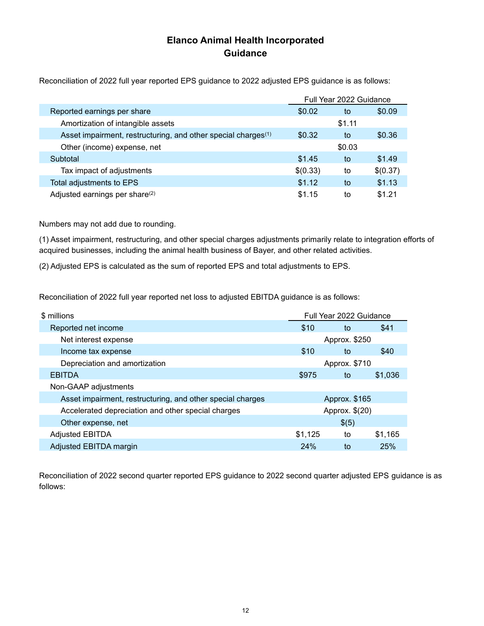# **Elanco Animal Health Incorporated Guidance**

|                                                                           |          | Full Year 2022 Guidance |          |
|---------------------------------------------------------------------------|----------|-------------------------|----------|
| Reported earnings per share                                               | \$0.02   | to                      | \$0.09   |
| Amortization of intangible assets                                         |          | \$1.11                  |          |
| Asset impairment, restructuring, and other special charges <sup>(1)</sup> | \$0.32   | to                      | \$0.36   |
| Other (income) expense, net                                               |          | \$0.03                  |          |
| Subtotal                                                                  | \$1.45   | to                      | \$1.49   |
| Tax impact of adjustments                                                 | \$(0.33) | to                      | \$(0.37) |
| Total adjustments to EPS                                                  | \$1.12   | to                      | \$1.13   |
| Adjusted earnings per share <sup>(2)</sup>                                | \$1.15   | to                      | \$1.21   |

Reconciliation of 2022 full year reported EPS guidance to 2022 adjusted EPS guidance is as follows:

Numbers may not add due to rounding.

(1) Asset impairment, restructuring, and other special charges adjustments primarily relate to integration efforts of acquired businesses, including the animal health business of Bayer, and other related activities.

(2) Adjusted EPS is calculated as the sum of reported EPS and total adjustments to EPS.

Reconciliation of 2022 full year reported net loss to adjusted EBITDA guidance is as follows:

| \$ millions                                                | Full Year 2022 Guidance |               |         |  |
|------------------------------------------------------------|-------------------------|---------------|---------|--|
| Reported net income                                        | \$10                    | to            | \$41    |  |
| Net interest expense                                       |                         | Approx. \$250 |         |  |
| Income tax expense                                         | \$10                    | to            | \$40    |  |
| Depreciation and amortization                              | Approx. \$710           |               |         |  |
| <b>EBITDA</b>                                              | \$975                   | to            | \$1,036 |  |
| Non-GAAP adjustments                                       |                         |               |         |  |
| Asset impairment, restructuring, and other special charges | Approx. \$165           |               |         |  |
| Accelerated depreciation and other special charges         | Approx. \$(20)          |               |         |  |
| Other expense, net                                         |                         | \$(5)         |         |  |
| <b>Adjusted EBITDA</b>                                     | \$1,125                 | to            | \$1,165 |  |
| Adjusted EBITDA margin                                     | 24%                     | to            | 25%     |  |

Reconciliation of 2022 second quarter reported EPS guidance to 2022 second quarter adjusted EPS guidance is as follows: